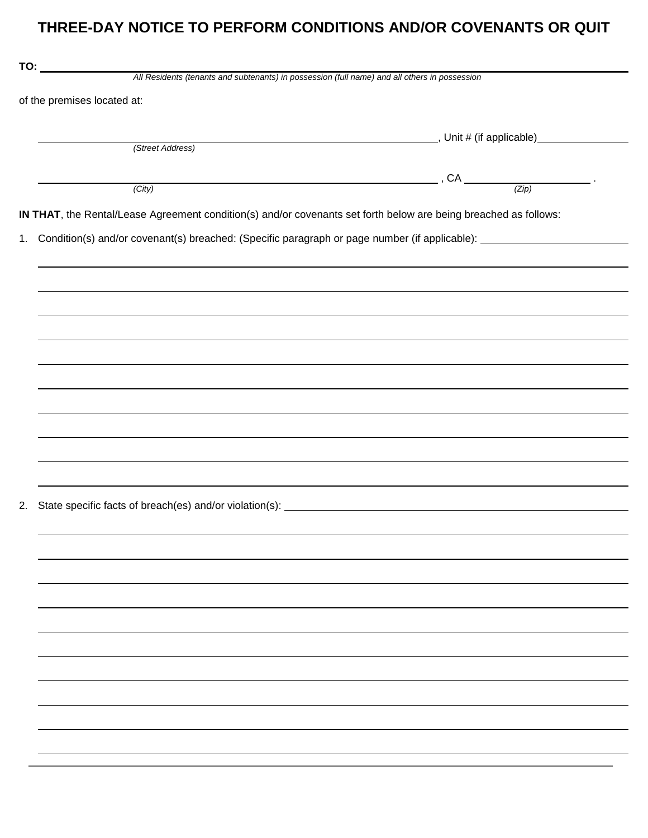## THREE-DAY NOTICE TO PERFORM CONDITIONS AND/OR COVENANTS OR QUIT

| of the premises located at: |                                                                                                                  |                                                                                  |  |
|-----------------------------|------------------------------------------------------------------------------------------------------------------|----------------------------------------------------------------------------------|--|
|                             |                                                                                                                  |                                                                                  |  |
|                             |                                                                                                                  |                                                                                  |  |
|                             | (Street Address)                                                                                                 |                                                                                  |  |
|                             |                                                                                                                  |                                                                                  |  |
|                             |                                                                                                                  | $(City)$ $(City)$ $(Zip)$                                                        |  |
|                             | IN THAT, the Rental/Lease Agreement condition(s) and/or covenants set forth below are being breached as follows: |                                                                                  |  |
|                             |                                                                                                                  |                                                                                  |  |
|                             |                                                                                                                  |                                                                                  |  |
|                             |                                                                                                                  |                                                                                  |  |
|                             |                                                                                                                  |                                                                                  |  |
|                             |                                                                                                                  |                                                                                  |  |
|                             |                                                                                                                  |                                                                                  |  |
|                             |                                                                                                                  |                                                                                  |  |
|                             |                                                                                                                  |                                                                                  |  |
|                             |                                                                                                                  |                                                                                  |  |
|                             |                                                                                                                  |                                                                                  |  |
|                             |                                                                                                                  | ,我们也不会有什么。""我们的人,我们也不会有什么?""我们的人,我们也不会有什么?""我们的人,我们也不会有什么?""我们的人,我们也不会有什么?""我们的人 |  |
|                             |                                                                                                                  |                                                                                  |  |
|                             |                                                                                                                  |                                                                                  |  |
|                             | ,我们也不会有什么。""我们的人,我们也不会有什么?""我们的人,我们也不会有什么?""我们的人,我们也不会有什么?""我们的人,我们也不会有什么?""我们的人                                 |                                                                                  |  |
|                             |                                                                                                                  |                                                                                  |  |
|                             |                                                                                                                  |                                                                                  |  |
|                             |                                                                                                                  |                                                                                  |  |
|                             |                                                                                                                  |                                                                                  |  |
|                             |                                                                                                                  |                                                                                  |  |
|                             |                                                                                                                  |                                                                                  |  |
|                             |                                                                                                                  |                                                                                  |  |
|                             |                                                                                                                  |                                                                                  |  |
|                             |                                                                                                                  |                                                                                  |  |
|                             |                                                                                                                  |                                                                                  |  |
|                             |                                                                                                                  |                                                                                  |  |
|                             |                                                                                                                  |                                                                                  |  |
|                             |                                                                                                                  |                                                                                  |  |
|                             |                                                                                                                  |                                                                                  |  |
|                             |                                                                                                                  |                                                                                  |  |
|                             |                                                                                                                  |                                                                                  |  |
|                             |                                                                                                                  |                                                                                  |  |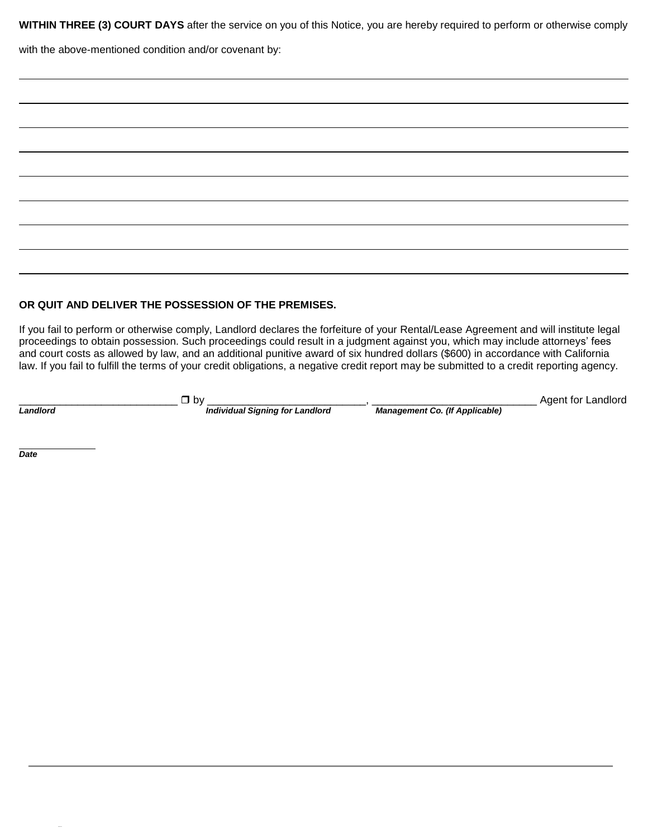WITHIN THREE (3) COURT DAYS after the service on you of this Notice, you are hereby required to perform or otherwise comply

with the above-mentioned condition and/or covenant by:

## OR QUIT AND DELIVER THE POSSESSION OF THE PREMISES.

If you fail to perform or otherwise comply, Landlord declares the forfeiture of your Rental/Lease Agreement and will institute legal proceedings to obtain possession. Such proceedings could result in a judgment against you, which may include attorneys' fees and court costs as allowed by law, and an additional punitive award of six hundred dollars (\$600) in accordance with California law. If you fail to fulfill the terms of your credit obligations, a negative credit report may be submitted to a credit reporting agency.

Landlord

 $\Box$  by

**Individual Signing for Landlord** 

**Management Co. (If Applicable)** 

Agent for Landlord

Date